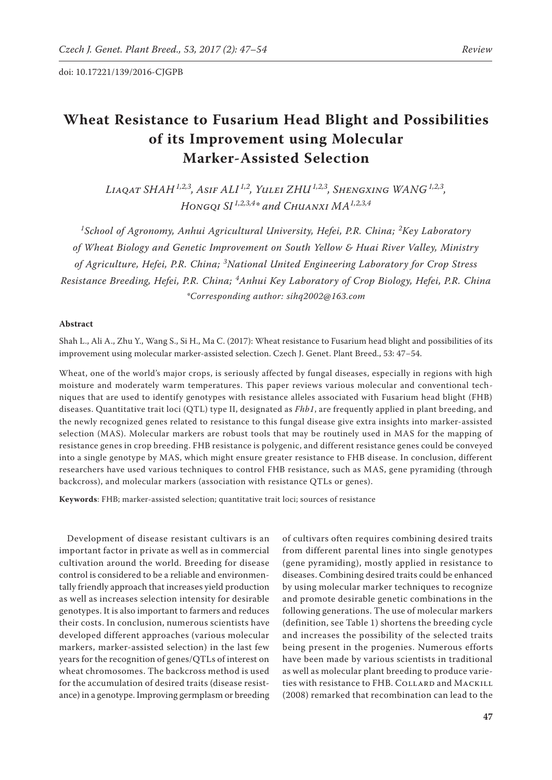# **Wheat Resistance to Fusarium Head Blight and Possibilities of its Improvement using Molecular Marker-Assisted Selection**

*Liaqat SHAH 1,2,3, Asif ALI 1,2, Yulei ZHU 1,2,3, Shengxing WANG 1,2,3, Hongqi SI 1,2,3,4\* and Chuanxi MA1,2,3,4*

<sup>1</sup>School of Agronomy, Anhui Agricultural University, Hefei, P.R. China; <sup>2</sup>Key Laboratory *of Wheat Biology and Genetic Improvement on South Yellow & Huai River Valley, Ministry of Agriculture, Hefei, P.R. China; <sup>3</sup> National United Engineering Laboratory for Crop Stress Resistance Breeding, Hefei, P.R. China; <sup>4</sup> Anhui Key Laboratory of Crop Biology, Hefei, P.R. China \*Corresponding author: sihq2002@163.com*

# **Abstract**

Shah L., Ali A., Zhu Y., Wang S., Si H., Ma C. (2017): Wheat resistance to Fusarium head blight and possibilities of its improvement using molecular marker-assisted selection. Czech J. Genet. Plant Breed., 53: 47−54.

Wheat, one of the world's major crops, is seriously affected by fungal diseases, especially in regions with high moisture and moderately warm temperatures. This paper reviews various molecular and conventional techniques that are used to identify genotypes with resistance alleles associated with Fusarium head blight (FHB) diseases. Quantitative trait loci (QTL) type II, designated as *Fhb1*, are frequently applied in plant breeding, and the newly recognized genes related to resistance to this fungal disease give extra insights into marker-assisted selection (MAS). Molecular markers are robust tools that may be routinely used in MAS for the mapping of resistance genes in crop breeding. FHB resistance is polygenic, and different resistance genes could be conveyed into a single genotype by MAS, which might ensure greater resistance to FHB disease. In conclusion, different researchers have used various techniques to control FHB resistance, such as MAS, gene pyramiding (through backcross), and molecular markers (association with resistance QTLs or genes).

**Keywords**: FHB; marker-assisted selection; quantitative trait loci; sources of resistance

Development of disease resistant cultivars is an important factor in private as well as in commercial cultivation around the world. Breeding for disease control is considered to be a reliable and environmentally friendly approach that increases yield production as well as increases selection intensity for desirable genotypes. It is also important to farmers and reduces their costs. In conclusion, numerous scientists have developed different approaches (various molecular markers, marker-assisted selection) in the last few years for the recognition of genes/QTLs of interest on wheat chromosomes. The backcross method is used for the accumulation of desired traits (disease resistance) in a genotype. Improving germplasm or breeding

of cultivars often requires combining desired traits from different parental lines into single genotypes (gene pyramiding), mostly applied in resistance to diseases. Combining desired traits could be enhanced by using molecular marker techniques to recognize and promote desirable genetic combinations in the following generations. The use of molecular markers (definition, see Table 1) shortens the breeding cycle and increases the possibility of the selected traits being present in the progenies. Numerous efforts have been made by various scientists in traditional as well as molecular plant breeding to produce varieties with resistance to FHB. COLLARD and MACKILL (2008) remarked that recombination can lead to the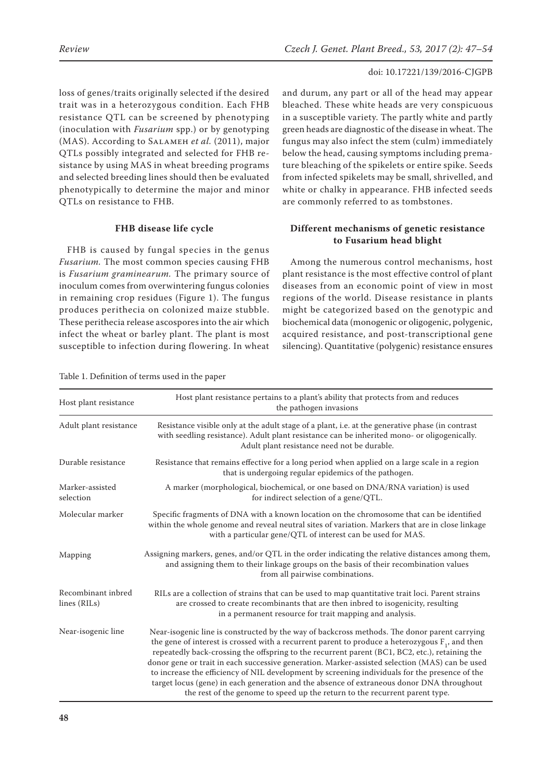loss of genes/traits originally selected if the desired trait was in a heterozygous condition. Each FHB resistance QTL can be screened by phenotyping (inoculation with *Fusarium* spp.) or by genotyping (MAS). According to Salameh *et al.* (2011), major QTLs possibly integrated and selected for FHB resistance by using MAS in wheat breeding programs and selected breeding lines should then be evaluated phenotypically to determine the major and minor QTLs on resistance to FHB.

# **FHB disease life cycle**

FHB is caused by fungal species in the genus *Fusarium.* The most common species causing FHB is *Fusarium graminearum.* The primary source of inoculum comes from overwintering fungus colonies in remaining crop residues (Figure 1). The fungus produces perithecia on colonized maize stubble. These perithecia release ascospores into the air which infect the wheat or barley plant. The plant is most susceptible to infection during flowering. In wheat

and durum, any part or all of the head may appear bleached. These white heads are very conspicuous in a susceptible variety. The partly white and partly green heads are diagnostic of the disease in wheat. The fungus may also infect the stem (culm) immediately below the head, causing symptoms including premature bleaching of the spikelets or entire spike. Seeds from infected spikelets may be small, shrivelled, and white or chalky in appearance. FHB infected seeds are commonly referred to as tombstones.

# **Different mechanisms of genetic resistance to Fusarium head blight**

Among the numerous control mechanisms, host plant resistance is the most effective control of plant diseases from an economic point of view in most regions of the world. Disease resistance in plants might be categorized based on the genotypic and biochemical data (monogenic or oligogenic, polygenic, acquired resistance, and post-transcriptional gene silencing). Quantitative (polygenic) resistance ensures

| Host plant resistance              | Host plant resistance pertains to a plant's ability that protects from and reduces<br>the pathogen invasions                                                                                                                                                                                                                                                                                                                                                                                                                                                                                                                                                                         |  |  |  |  |
|------------------------------------|--------------------------------------------------------------------------------------------------------------------------------------------------------------------------------------------------------------------------------------------------------------------------------------------------------------------------------------------------------------------------------------------------------------------------------------------------------------------------------------------------------------------------------------------------------------------------------------------------------------------------------------------------------------------------------------|--|--|--|--|
| Adult plant resistance             | Resistance visible only at the adult stage of a plant, i.e. at the generative phase (in contrast<br>with seedling resistance). Adult plant resistance can be inherited mono- or oligogenically.<br>Adult plant resistance need not be durable.                                                                                                                                                                                                                                                                                                                                                                                                                                       |  |  |  |  |
| Durable resistance                 | Resistance that remains effective for a long period when applied on a large scale in a region<br>that is undergoing regular epidemics of the pathogen.                                                                                                                                                                                                                                                                                                                                                                                                                                                                                                                               |  |  |  |  |
| Marker-assisted<br>selection       | A marker (morphological, biochemical, or one based on DNA/RNA variation) is used<br>for indirect selection of a gene/QTL.                                                                                                                                                                                                                                                                                                                                                                                                                                                                                                                                                            |  |  |  |  |
| Molecular marker                   | Specific fragments of DNA with a known location on the chromosome that can be identified<br>within the whole genome and reveal neutral sites of variation. Markers that are in close linkage<br>with a particular gene/QTL of interest can be used for MAS.                                                                                                                                                                                                                                                                                                                                                                                                                          |  |  |  |  |
| Mapping                            | Assigning markers, genes, and/or QTL in the order indicating the relative distances among them,<br>and assigning them to their linkage groups on the basis of their recombination values<br>from all pairwise combinations.                                                                                                                                                                                                                                                                                                                                                                                                                                                          |  |  |  |  |
| Recombinant inbred<br>lines (RILs) | RILs are a collection of strains that can be used to map quantitative trait loci. Parent strains<br>are crossed to create recombinants that are then inbred to isogenicity, resulting<br>in a permanent resource for trait mapping and analysis.                                                                                                                                                                                                                                                                                                                                                                                                                                     |  |  |  |  |
| Near-isogenic line                 | Near-isogenic line is constructed by the way of backcross methods. The donor parent carrying<br>the gene of interest is crossed with a recurrent parent to produce a heterozygous $F_1$ , and then<br>repeatedly back-crossing the offspring to the recurrent parent (BC1, BC2, etc.), retaining the<br>donor gene or trait in each successive generation. Marker-assisted selection (MAS) can be used<br>to increase the efficiency of NIL development by screening individuals for the presence of the<br>target locus (gene) in each generation and the absence of extraneous donor DNA throughout<br>the rest of the genome to speed up the return to the recurrent parent type. |  |  |  |  |

Table 1. Definition of terms used in the paper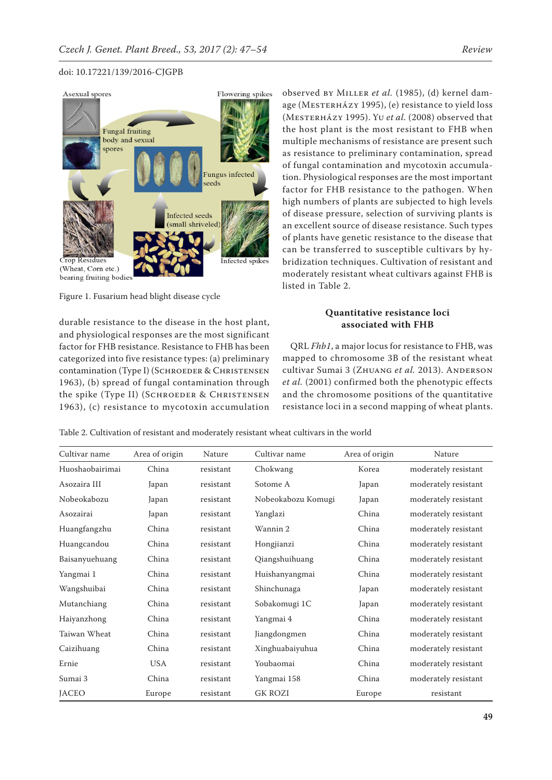

Figure 1. Fusarium head blight disease cycle

durable resistance to the disease in the host plant, and physiological responses are the most significant factor for FHB resistance. Resistance to FHB has been categorized into five resistance types: (a) preliminary contamination (Type I) (SCHROEDER & CHRISTENSEN 1963), (b) spread of fungal contamination through the spike (Type II) (SCHROEDER & CHRISTENSEN 1963), (c) resistance to mycotoxin accumulation observed by Miller *et al.* (1985), (d) kernel damage (MESTERHÁZY 1995), (e) resistance to yield loss (Mesterházy 1995). Yu *et al.* (2008) observed that the host plant is the most resistant to FHB when multiple mechanisms of resistance are present such as resistance to preliminary contamination, spread of fungal contamination and mycotoxin accumulation. Physiological responses are the most important factor for FHB resistance to the pathogen. When high numbers of plants are subjected to high levels of disease pressure, selection of surviving plants is an excellent source of disease resistance. Such types of plants have genetic resistance to the disease that can be transferred to susceptible cultivars by hybridization techniques. Cultivation of resistant and moderately resistant wheat cultivars against FHB is listed in Table 2.

# **Quantitative resistance loci associated with FHB**

QRL *Fhb1*, a major locus for resistance to FHB, was mapped to chromosome 3B of the resistant wheat cultivar Sumai 3 (Zhuang *et al.* 2013). Anderson *et al.* (2001) confirmed both the phenotypic effects and the chromosome positions of the quantitative resistance loci in a second mapping of wheat plants.

Table 2. Cultivation of resistant and moderately resistant wheat cultivars in the world

| Cultivar name   | Area of origin | Nature    | Cultivar name      | Area of origin | Nature               |
|-----------------|----------------|-----------|--------------------|----------------|----------------------|
| Huoshaobairimai | China          | resistant | Chokwang           | Korea          | moderately resistant |
| Asozaira III    | Japan          | resistant | Sotome A           | Japan          | moderately resistant |
| Nobeokabozu     | Japan          | resistant | Nobeokabozu Komugi | Japan          | moderately resistant |
| Asozairai       | Japan          | resistant | Yanglazi           | China          | moderately resistant |
| Huangfangzhu    | China          | resistant | Wannin 2           | China          | moderately resistant |
| Huangcandou     | China          | resistant | Hongjianzi         | China          | moderately resistant |
| Baisanyuehuang  | China          | resistant | Qiangshuihuang     | China          | moderately resistant |
| Yangmai 1       | China          | resistant | Huishanyangmai     | China          | moderately resistant |
| Wangshuibai     | China          | resistant | Shinchunaga        | Japan          | moderately resistant |
| Mutanchiang     | China          | resistant | Sobakomugi 1C      | Japan          | moderately resistant |
| Haiyanzhong     | China          | resistant | Yangmai 4          | China          | moderately resistant |
| Taiwan Wheat    | China          | resistant | Jiangdongmen       | China          | moderately resistant |
| Caizihuang      | China          | resistant | Xinghuabaiyuhua    | China          | moderately resistant |
| Ernie           | <b>USA</b>     | resistant | Youbaomai          | China          | moderately resistant |
| Sumai 3         | China          | resistant | Yangmai 158        | China          | moderately resistant |
| <b>JACEO</b>    | Europe         | resistant | <b>GK ROZI</b>     | Europe         | resistant            |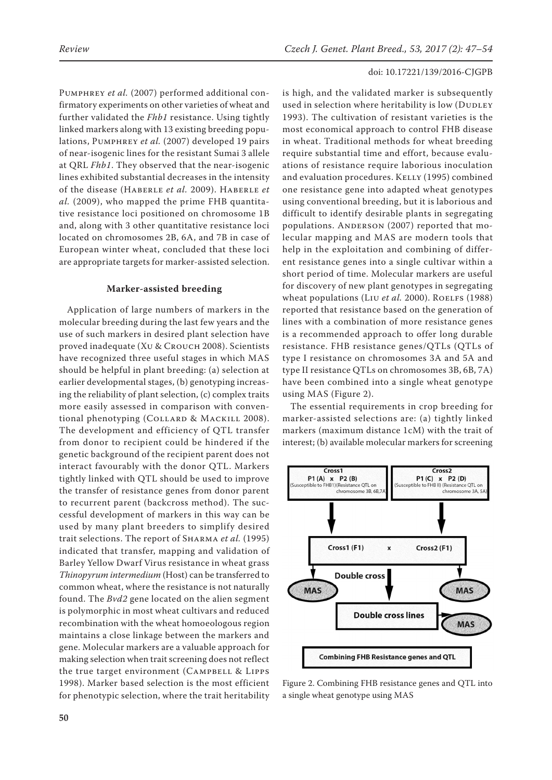Pumphrey *et al.* (2007) performed additional confirmatory experiments on other varieties of wheat and further validated the *Fhb1* resistance. Using tightly linked markers along with 13 existing breeding populations, Pumphrey *et al.* (2007) developed 19 pairs of near-isogenic lines for the resistant Sumai 3 allele at QRL *Fhb1*. They observed that the near-isogenic lines exhibited substantial decreases in the intensity of the disease (Haberle *et al.* 2009). Haberle *et al.* (2009), who mapped the prime FHB quantitative resistance loci positioned on chromosome 1B and, along with 3 other quantitative resistance loci located on chromosomes 2B, 6A, and 7B in case of European winter wheat, concluded that these loci are appropriate targets for marker-assisted selection.

# **Marker-assisted breeding**

Application of large numbers of markers in the molecular breeding during the last few years and the use of such markers in desired plant selection have proved inadequate (Xu & Crouch 2008). Scientists have recognized three useful stages in which MAS should be helpful in plant breeding: (a) selection at earlier developmental stages, (b) genotyping increasing the reliability of plant selection, (c) complex traits more easily assessed in comparison with conventional phenotyping (COLLARD & MACKILL 2008). The development and efficiency of QTL transfer from donor to recipient could be hindered if the genetic background of the recipient parent does not interact favourably with the donor QTL. Markers tightly linked with QTL should be used to improve the transfer of resistance genes from donor parent to recurrent parent (backcross method). The successful development of markers in this way can be used by many plant breeders to simplify desired trait selections. The report of Sharma *et al.* (1995) indicated that transfer, mapping and validation of Barley Yellow Dwarf Virus resistance in wheat grass *Thinopyrum intermedium* (Host) can be transferred to common wheat, where the resistance is not naturally found. The *Bvd2* gene located on the alien segment is polymorphic in most wheat cultivars and reduced recombination with the wheat homoeologous region maintains a close linkage between the markers and gene. Molecular markers are a valuable approach for making selection when trait screening does not reflect the true target environment (CAMPBELL & LIPPS 1998). Marker based selection is the most efficient for phenotypic selection, where the trait heritability

is high, and the validated marker is subsequently used in selection where heritability is low (DUDLEY 1993). The cultivation of resistant varieties is the most economical approach to control FHB disease in wheat. Traditional methods for wheat breeding require substantial time and effort, because evaluations of resistance require laborious inoculation and evaluation procedures. KELLY (1995) combined one resistance gene into adapted wheat genotypes using conventional breeding, but it is laborious and difficult to identify desirable plants in segregating populations. ANDERSON (2007) reported that molecular mapping and MAS are modern tools that help in the exploitation and combining of different resistance genes into a single cultivar within a short period of time. Molecular markers are useful for discovery of new plant genotypes in segregating wheat populations (LIU *et al.* 2000). ROELFS (1988) reported that resistance based on the generation of lines with a combination of more resistance genes is a recommended approach to offer long durable resistance. FHB resistance genes/QTLs (QTLs of type I resistance on chromosomes 3A and 5A and type II resistance QTLs on chromosomes 3B, 6B, 7A) have been combined into a single wheat genotype using MAS (Figure 2).

The essential requirements in crop breeding for marker-assisted selections are: (a) tightly linked markers (maximum distance 1cM) with the trait of interest; (b) available molecular markers for screening



Figure 2. Combining FHB resistance genes and QTL into a single wheat genotype using MAS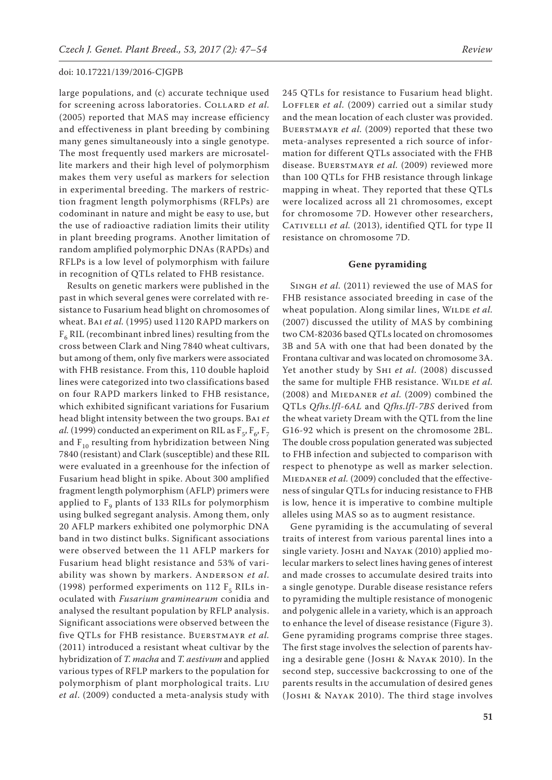large populations, and (c) accurate technique used for screening across laboratories. COLLARD et al. (2005) reported that MAS may increase efficiency and effectiveness in plant breeding by combining many genes simultaneously into a single genotype. The most frequently used markers are microsatellite markers and their high level of polymorphism makes them very useful as markers for selection in experimental breeding. The markers of restriction fragment length polymorphisms (RFLPs) are codominant in nature and might be easy to use, but the use of radioactive radiation limits their utility in plant breeding programs. Another limitation of random amplified polymorphic DNAs (RAPDs) and RFLPs is a low level of polymorphism with failure in recognition of QTLs related to FHB resistance.

Results on genetic markers were published in the past in which several genes were correlated with resistance to Fusarium head blight on chromosomes of wheat. Bai *et al.* (1995) used 1120 RAPD markers on  $F<sub>6</sub> RIL$  (recombinant inbred lines) resulting from the cross between Clark and Ning 7840 wheat cultivars, but among of them, only five markers were associated with FHB resistance. From this, 110 double haploid lines were categorized into two classifications based on four RAPD markers linked to FHB resistance, which exhibited significant variations for Fusarium head blight intensity between the two groups. Bai *et al.* (1999) conducted an experiment on RIL as  $F_5$ ,  $F_6$ ,  $F_7$ and  $F_{10}$  resulting from hybridization between Ning 7840 (resistant) and Clark (susceptible) and these RIL were evaluated in a greenhouse for the infection of Fusarium head blight in spike. About 300 amplified fragment length polymorphism (AFLP) primers were applied to  $F<sub>9</sub>$  plants of 133 RILs for polymorphism using bulked segregant analysis. Among them, only 20 AFLP markers exhibited one polymorphic DNA band in two distinct bulks. Significant associations were observed between the 11 AFLP markers for Fusarium head blight resistance and 53% of variability was shown by markers. Anderson *et al.* (1998) performed experiments on 112  $F<sub>5</sub>$  RILs inoculated with *Fusarium graminearum* conidia and analysed the resultant population by RFLP analysis. Significant associations were observed between the five QTLs for FHB resistance. Buerstmayr *et al.* (2011) introduced a resistant wheat cultivar by the hybridization of *T. macha* and *T. aestivum* and applied various types of RFLP markers to the population for polymorphism of plant morphological traits. Liu *et al*. (2009) conducted a meta-analysis study with 245 QTLs for resistance to Fusarium head blight. LOFFLER et al. (2009) carried out a similar study and the mean location of each cluster was provided. Buerstmayr *et al.* (2009) reported that these two meta-analyses represented a rich source of information for different QTLs associated with the FHB disease. Buerstmayr *et al.* (2009) reviewed more than 100 QTLs for FHB resistance through linkage mapping in wheat. They reported that these QTLs were localized across all 21 chromosomes, except for chromosome 7D. However other researchers, CATIVELLI *et al.* (2013), identified QTL for type II resistance on chromosome 7D.

# **Gene pyramiding**

Singh *et al.* (2011) reviewed the use of MAS for FHB resistance associated breeding in case of the wheat population. Along similar lines, WILDE et al. (2007) discussed the utility of MAS by combining two CM-82036 based QTLs located on chromosomes 3B and 5A with one that had been donated by the Frontana cultivar and was located on chromosome 3A. Yet another study by Shi *et al.* (2008) discussed the same for multiple FHB resistance. WILDE et al. (2008) and MIEDANER et al. (2009) combined the QTLs *Qfhs.lfl-6AL* and *Qfhs.lfl-7BS* derived from the wheat variety Dream with the QTL from the line G16-92 which is present on the chromosome 2BL. The double cross population generated was subjected to FHB infection and subjected to comparison with respect to phenotype as well as marker selection. MIEDANER et al. (2009) concluded that the effectiveness of singular QTLs for inducing resistance to FHB is low, hence it is imperative to combine multiple alleles using MAS so as to augment resistance.

Gene pyramiding is the accumulating of several traits of interest from various parental lines into a single variety. JOSHI and NAYAK (2010) applied molecular markers to select lines having genes of interest and made crosses to accumulate desired traits into a single genotype. Durable disease resistance refers to pyramiding the multiple resistance of monogenic and polygenic allele in a variety, which is an approach to enhance the level of disease resistance (Figure 3). Gene pyramiding programs comprise three stages. The first stage involves the selection of parents having a desirable gene (Joshi & Nayak 2010). In the second step, successive backcrossing to one of the parents results in the accumulation of desired genes (Joshi & Nayak 2010). The third stage involves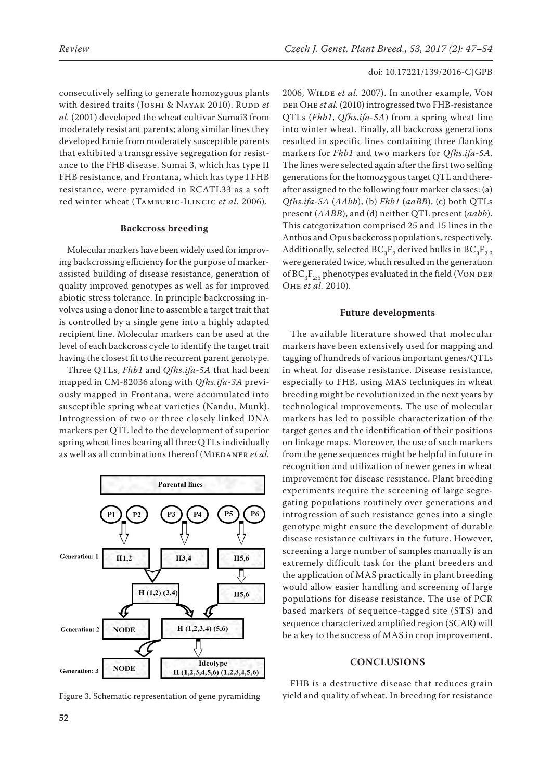consecutively selfing to generate homozygous plants with desired traits (JOSHI & NAYAK 2010). RUDD et *al.* (2001) developed the wheat cultivar Sumai3 from moderately resistant parents; along similar lines they developed Ernie from moderately susceptible parents that exhibited a transgressive segregation for resistance to the FHB disease. Sumai 3, which has type II FHB resistance, and Frontana, which has type I FHB

**Backcross breeding**

resistance, were pyramided in RCATL33 as a soft red winter wheat (TAMBURIC-ILINCIC et al. 2006).

Molecular markers have been widely used for improving backcrossing efficiency for the purpose of markerassisted building of disease resistance, generation of quality improved genotypes as well as for improved abiotic stress tolerance. In principle backcrossing involves using a donor line to assemble a target trait that is controlled by a single gene into a highly adapted recipient line. Molecular markers can be used at the level of each backcross cycle to identify the target trait having the closest fit to the recurrent parent genotype.

Three QTLs, *Fhb1* and *Qfhs.ifa-5A* that had been mapped in CM-82036 along with *Qfhs.ifa-3A* previously mapped in Frontana, were accumulated into susceptible spring wheat varieties (Nandu, Munk). Introgression of two or three closely linked DNA markers per QTL led to the development of superior spring wheat lines bearing all three QTLs individually as well as all combinations thereof (MIEDANER et al.



# doi: 10.17221/139/2016-CJGPB

2006, Wilde *et al.* 2007). In another example, Von DER OHE et al. (2010) introgressed two FHB-resistance QTLs (*Fhb1*, *Qfhs.ifa-5A*) from a spring wheat line into winter wheat. Finally, all backcross generations resulted in specific lines containing three flanking markers for *Fhb1* and two markers for *Qfhs.ifa-5A*. The lines were selected again after the first two selfing generations for the homozygous target QTL and thereafter assigned to the following four marker classes: (a) *Qfhs.ifa-5A* (*AAbb*), (b) *Fhb1* (*aaBB*), (c) both QTLs present (*AABB*), and (d) neither QTL present (*aabb*). This categorization comprised 25 and 15 lines in the Anthus and Opus backcross populations, respectively. Additionally, selected  $BC_3F_2$  derived bulks in  $BC_3F_{2:3}$ were generated twice, which resulted in the generation of  $BC_3F_{2.5}$  phenotypes evaluated in the field (VON DER Ohe *et al.* 2010).

#### **Future developments**

The available literature showed that molecular markers have been extensively used for mapping and tagging of hundreds of various important genes/QTLs in wheat for disease resistance. Disease resistance, especially to FHB, using MAS techniques in wheat breeding might be revolutionized in the next years by technological improvements. The use of molecular markers has led to possible characterization of the target genes and the identification of their positions on linkage maps. Moreover, the use of such markers from the gene sequences might be helpful in future in recognition and utilization of newer genes in wheat improvement for disease resistance. Plant breeding experiments require the screening of large segregating populations routinely over generations and introgression of such resistance genes into a single genotype might ensure the development of durable disease resistance cultivars in the future. However, screening a large number of samples manually is an extremely difficult task for the plant breeders and the application of MAS practically in plant breeding would allow easier handling and screening of large populations for disease resistance. The use of PCR based markers of sequence-tagged site (STS) and sequence characterized amplified region (SCAR) will be a key to the success of MAS in crop improvement.

# **CONCLUSIONS**

FHB is a destructive disease that reduces grain Figure 3. Schematic representation of gene pyramiding yield and quality of wheat. In breeding for resistance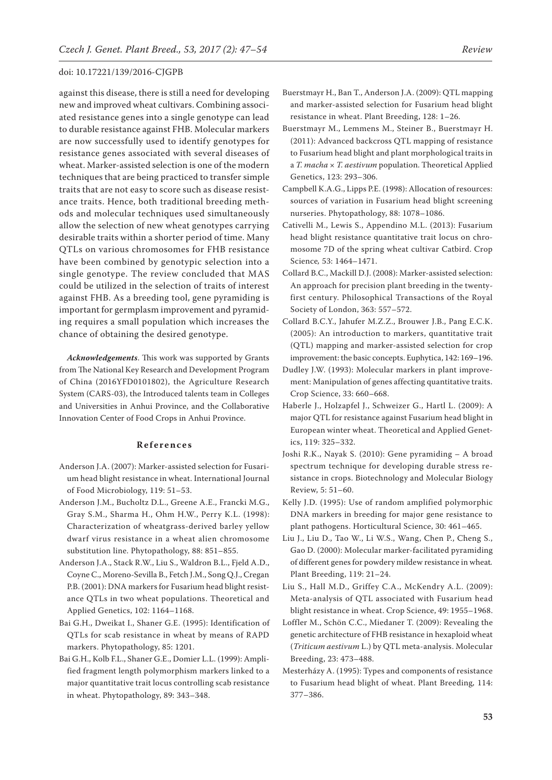against this disease, there is still a need for developing new and improved wheat cultivars. Combining associated resistance genes into a single genotype can lead to durable resistance against FHB. Molecular markers are now successfully used to identify genotypes for resistance genes associated with several diseases of wheat. Marker-assisted selection is one of the modern techniques that are being practiced to transfer simple traits that are not easy to score such as disease resistance traits. Hence, both traditional breeding methods and molecular techniques used simultaneously allow the selection of new wheat genotypes carrying desirable traits within a shorter period of time. Many QTLs on various chromosomes for FHB resistance have been combined by genotypic selection into a single genotype. The review concluded that MAS could be utilized in the selection of traits of interest against FHB. As a breeding tool, gene pyramiding is important for germplasm improvement and pyramiding requires a small population which increases the chance of obtaining the desired genotype.

*Acknowledgements*. This work was supported by Grants from The National Key Research and Development Program of China (2016YFD0101802), the Agriculture Research System (CARS-03), the Introduced talents team in Colleges and Universities in Anhui Province, and the Collaborative Innovation Center of Food Crops in Anhui Province.

# **References**

- Anderson J.A. (2007): Marker-assisted selection for Fusarium head blight resistance in wheat. International Journal of Food Microbiology, 119: 51–53.
- Anderson J.M., Bucholtz D.L., Greene A.E., Francki M.G., Gray S.M., Sharma H., Ohm H.W., Perry K.L. (1998): Characterization of wheatgrass-derived barley yellow dwarf virus resistance in a wheat alien chromosome substitution line. Phytopathology, 88: 851–855.
- Anderson J.A., Stack R.W., Liu S., Waldron B.L., Fjeld A.D., Coyne C., Moreno-Sevilla B., Fetch J.M., Song Q.J., Cregan P.B. (2001): DNA markers for Fusarium head blight resistance QTLs in two wheat populations. Theoretical and Applied Genetics, 102: 1164–1168.
- Bai G.H., Dweikat I., Shaner G.E. (1995): Identification of QTLs for scab resistance in wheat by means of RAPD markers. Phytopathology, 85: 1201.
- Bai G.H., Kolb F.L., Shaner G.E., Domier L.L. (1999): Amplified fragment length polymorphism markers linked to a major quantitative trait locus controlling scab resistance in wheat. Phytopathology, 89: 343–348.
- Buerstmayr H., Ban T., Anderson J.A. (2009): QTL mapping and marker-assisted selection for Fusarium head blight resistance in wheat. Plant Breeding, 128: 1–26.
- Buerstmayr M., Lemmens M., Steiner B., Buerstmayr H. (2011): Advanced backcross QTL mapping of resistance to Fusarium head blight and plant morphological traits in a *T. macha* × *T. aestivum* population. Theoretical Applied Genetics, 123: 293–306.
- Campbell K.A.G., Lipps P.E. (1998): Allocation of resources: sources of variation in Fusarium head blight screening nurseries. Phytopathology, 88: 1078–1086.
- Cativelli M., Lewis S., Appendino M.L. (2013): Fusarium head blight resistance quantitative trait locus on chromosome 7D of the spring wheat cultivar Catbird. Crop Science*,* 53: 1464–1471.
- Collard B.C., Mackill D.J. (2008): Marker-assisted selection: An approach for precision plant breeding in the twentyfirst century. Philosophical Transactions of the Royal Society of London, 363: 557–572.
- Collard B.C.Y., Jahufer M.Z.Z., Brouwer J.B., Pang E.C.K. (2005): An introduction to markers, quantitative trait (QTL) mapping and marker-assisted selection for crop improvement: the basic concepts. Euphytica, 142: 169–196.
- Dudley J.W. (1993): Molecular markers in plant improvement: Manipulation of genes affecting quantitative traits. Crop Science, 33: 660–668.
- Haberle J., Holzapfel J., Schweizer G., Hartl L. (2009): A major QTL for resistance against Fusarium head blight in European winter wheat. Theoretical and Applied Genetics, 119: 325–332.
- Joshi R.K., Nayak S. (2010): Gene pyramiding A broad spectrum technique for developing durable stress resistance in crops. Biotechnology and Molecular Biology Review, 5: 51–60.
- Kelly J.D. (1995): Use of random amplified polymorphic DNA markers in breeding for major gene resistance to plant pathogens. Horticultural Science, 30: 461–465.
- Liu J., Liu D., Tao W., Li W.S., Wang, Chen P., Cheng S., Gao D. (2000): Molecular marker-facilitated pyramiding of different genes for powdery mildew resistance in wheat*.* Plant Breeding, 119: 21–24.
- Liu S., Hall M.D., Griffey C.A., McKendry A.L. (2009): Meta-analysis of QTL associated with Fusarium head blight resistance in wheat. Crop Science, 49: 1955–1968.
- Loffler M., Schön C.C., Miedaner T. (2009): Revealing the genetic architecture of FHB resistance in hexaploid wheat (*Triticum aestivum* L.) by QTL meta-analysis. Molecular Breeding, 23: 473–488.
- Mesterházy A. (1995): Types and components of resistance to Fusarium head blight of wheat. Plant Breeding*,* 114: 377–386.